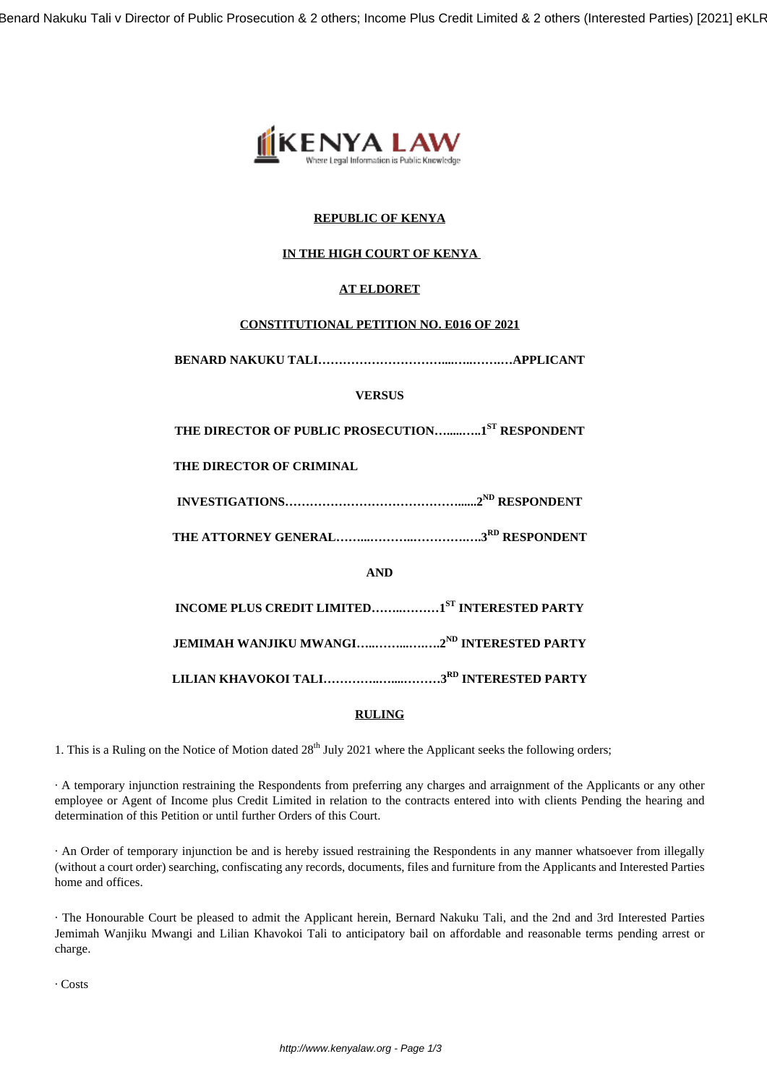

# **REPUBLIC OF KENYA**

# **IN THE HIGH COURT OF KENYA**

# **AT ELDORET**

## **CONSTITUTIONAL PETITION NO. E016 OF 2021**

**BENARD NAKUKU TALI…………………………....…..…….…APPLICANT**

# **VERSUS**

**THE DIRECTOR OF PUBLIC PROSECUTION….....…..1ST RESPONDENT**

## **THE DIRECTOR OF CRIMINAL**

**INVESTIGATIONS……………………………………......2ND RESPONDENT**

**THE ATTORNEY GENERAL……...………..………….….3RD RESPONDENT**

**AND**

**INCOME PLUS CREDIT LIMITED……..………1ST INTERESTED PARTY**

**JEMIMAH WANJIKU MWANGI…..……...….….2ND INTERESTED PARTY**

**LILIAN KHAVOKOI TALI…………..…....………3RD INTERESTED PARTY**

## **RULING**

1. This is a Ruling on the Notice of Motion dated  $28<sup>th</sup>$  July 2021 where the Applicant seeks the following orders;

· A temporary injunction restraining the Respondents from preferring any charges and arraignment of the Applicants or any other employee or Agent of Income plus Credit Limited in relation to the contracts entered into with clients Pending the hearing and determination of this Petition or until further Orders of this Court.

· An Order of temporary injunction be and is hereby issued restraining the Respondents in any manner whatsoever from illegally (without a court order) searching, confiscating any records, documents, files and furniture from the Applicants and Interested Parties home and offices.

· The Honourable Court be pleased to admit the Applicant herein, Bernard Nakuku Tali, and the 2nd and 3rd Interested Parties Jemimah Wanjiku Mwangi and Lilian Khavokoi Tali to anticipatory bail on affordable and reasonable terms pending arrest or charge.

· Costs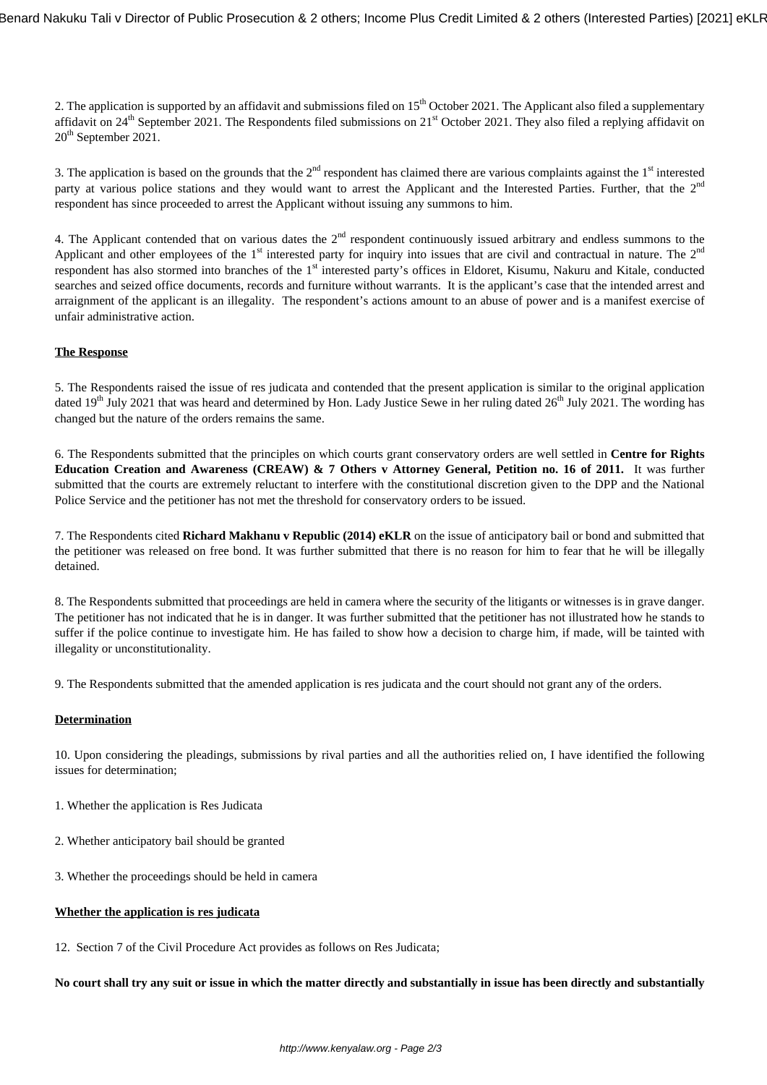2. The application is supported by an affidavit and submissions filed on 15<sup>th</sup> October 2021. The Applicant also filed a supplementary affidavit on  $24<sup>th</sup>$  September 2021. The Respondents filed submissions on  $21<sup>st</sup>$  October 2021. They also filed a replying affidavit on 20<sup>th</sup> September 2021.

3. The application is based on the grounds that the  $2<sup>nd</sup>$  respondent has claimed there are various complaints against the  $1<sup>st</sup>$  interested party at various police stations and they would want to arrest the Applicant and the Interested Parties. Further, that the 2<sup>nd</sup> respondent has since proceeded to arrest the Applicant without issuing any summons to him.

4. The Applicant contended that on various dates the  $2<sup>nd</sup>$  respondent continuously issued arbitrary and endless summons to the Applicant and other employees of the  $1<sup>st</sup>$  interested party for inquiry into issues that are civil and contractual in nature. The  $2<sup>nd</sup>$ respondent has also stormed into branches of the 1<sup>st</sup> interested party's offices in Eldoret, Kisumu, Nakuru and Kitale, conducted searches and seized office documents, records and furniture without warrants. It is the applicant's case that the intended arrest and arraignment of the applicant is an illegality. The respondent's actions amount to an abuse of power and is a manifest exercise of unfair administrative action.

### **The Response**

5. The Respondents raised the issue of res judicata and contended that the present application is similar to the original application dated  $19<sup>th</sup>$  July 2021 that was heard and determined by Hon. Lady Justice Sewe in her ruling dated  $26<sup>th</sup>$  July 2021. The wording has changed but the nature of the orders remains the same.

6. The Respondents submitted that the principles on which courts grant conservatory orders are well settled in **Centre for Rights Education Creation and Awareness (CREAW) & 7 Others v Attorney General, Petition no. 16 of 2011.** It was further submitted that the courts are extremely reluctant to interfere with the constitutional discretion given to the DPP and the National Police Service and the petitioner has not met the threshold for conservatory orders to be issued.

7. The Respondents cited **Richard Makhanu v Republic (2014) eKLR** on the issue of anticipatory bail or bond and submitted that the petitioner was released on free bond. It was further submitted that there is no reason for him to fear that he will be illegally detained.

8. The Respondents submitted that proceedings are held in camera where the security of the litigants or witnesses is in grave danger. The petitioner has not indicated that he is in danger. It was further submitted that the petitioner has not illustrated how he stands to suffer if the police continue to investigate him. He has failed to show how a decision to charge him, if made, will be tainted with illegality or unconstitutionality.

9. The Respondents submitted that the amended application is res judicata and the court should not grant any of the orders.

#### **Determination**

10. Upon considering the pleadings, submissions by rival parties and all the authorities relied on, I have identified the following issues for determination;

- 1. Whether the application is Res Judicata
- 2. Whether anticipatory bail should be granted
- 3. Whether the proceedings should be held in camera

#### **Whether the application is res judicata**

12. Section 7 of the Civil Procedure Act provides as follows on Res Judicata;

**No court shall try any suit or issue in which the matter directly and substantially in issue has been directly and substantially**